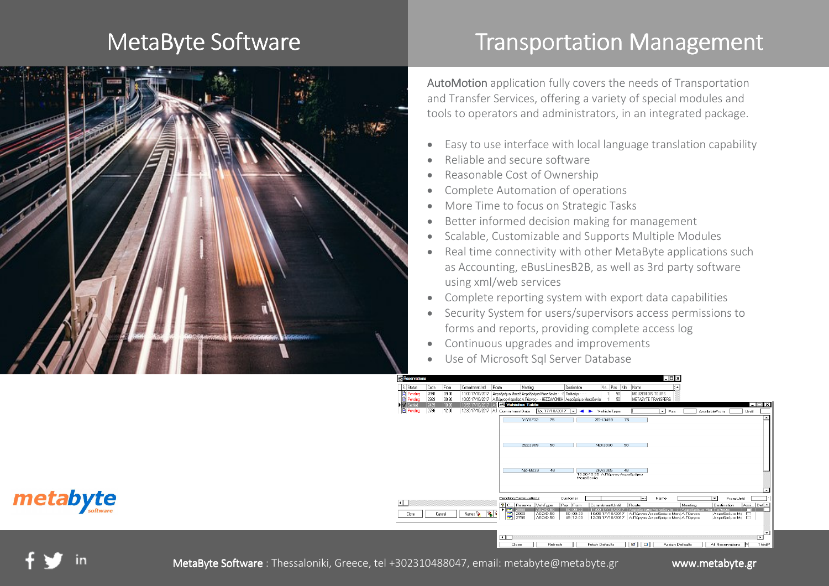#### MetaByte Software



# **Transportation Management**

**AutoMotion** application fully covers the needs of Transportation and Transfer Services, offering a variety of special modules and tools to operators and administrators, in an integrated package.

- •Easy to use interface with local language translation capability
- •Reliable and secure software
- •Reasonable Cost of Ownership
- •Complete Automation of operations
- •More Time to focus on Strategic Tasks
- •Better informed decision making for management
- •Scalable, Customizable and Supports Multiple Modules
- • Real time connectivity with other MetaByte applications such as Accounting, eBusLinesB2B, as well as 3rd party software using xml/web services
- •Complete reporting system with export data capabilities
- • Security System for users/supervisors access permissions to forms and reports, providing complete access log
- •Continuous upgrades and improvements
- •Use of Microsoft Sql Server Database



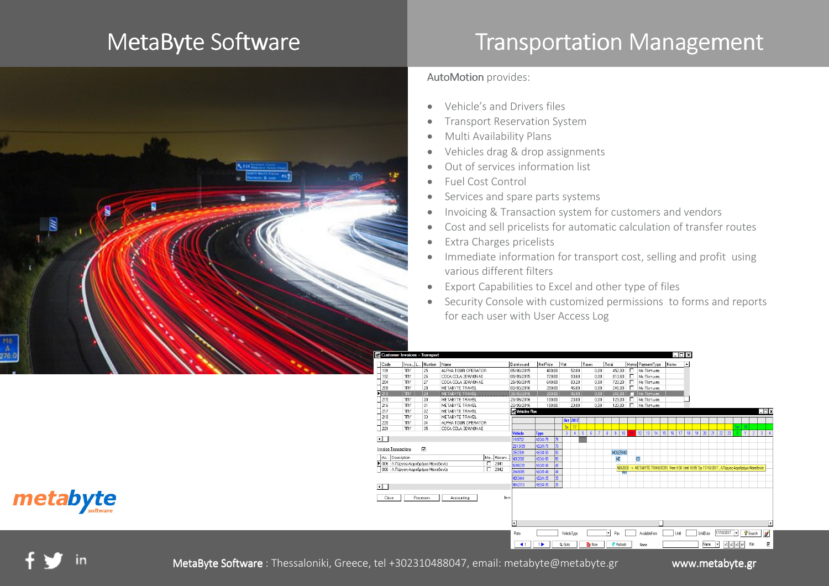## MetaByte Software



# **Transportation Management**

#### AutoMotion provides:

- •Vehicle's and Drivers files
- •Transport Reservation System
- •Multi Availability Plans
- •Vehicles drag & drop assignments
- •Out of services information list
- •Fuel Cost Control
- •Services and spare parts systems
- •Invoicing & Transaction system for customers and vendors
- •Cost and sell pricelists for automatic calculation of transfer routes
- •Extra Charges pricelists
- • Immediate information for transport cost, selling and profit using various different filters
- •Export Capabilities to Excel and other type of files
- • Security Console with customized permissions to forms and reports for each user with User Access Log